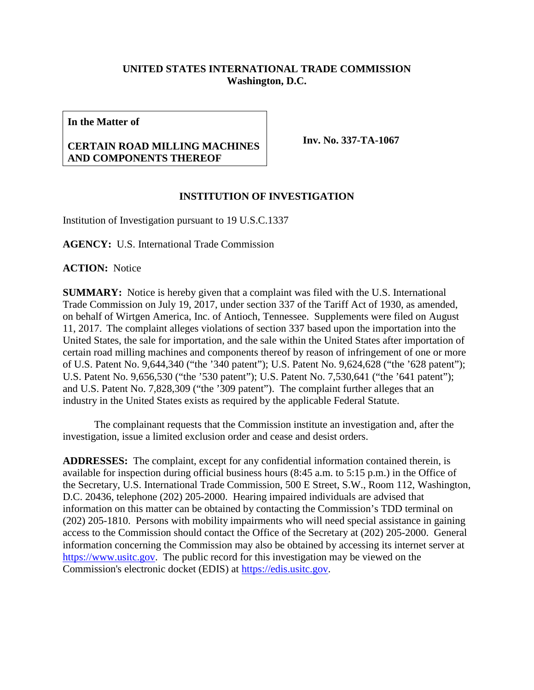## **UNITED STATES INTERNATIONAL TRADE COMMISSION Washington, D.C.**

**In the Matter of**

## **CERTAIN ROAD MILLING MACHINES AND COMPONENTS THEREOF**

**Inv. No. 337-TA-1067**

## **INSTITUTION OF INVESTIGATION**

Institution of Investigation pursuant to 19 U.S.C.1337

**AGENCY:** U.S. International Trade Commission

**ACTION:** Notice

**SUMMARY:** Notice is hereby given that a complaint was filed with the U.S. International Trade Commission on July 19, 2017, under section 337 of the Tariff Act of 1930, as amended, on behalf of Wirtgen America, Inc. of Antioch, Tennessee. Supplements were filed on August 11, 2017. The complaint alleges violations of section 337 based upon the importation into the United States, the sale for importation, and the sale within the United States after importation of certain road milling machines and components thereof by reason of infringement of one or more of U.S. Patent No. 9,644,340 ("the '340 patent"); U.S. Patent No. 9,624,628 ("the '628 patent"); U.S. Patent No. 9,656,530 ("the '530 patent"); U.S. Patent No. 7,530,641 ("the '641 patent"); and U.S. Patent No. 7,828,309 ("the '309 patent"). The complaint further alleges that an industry in the United States exists as required by the applicable Federal Statute.

The complainant requests that the Commission institute an investigation and, after the investigation, issue a limited exclusion order and cease and desist orders.

**ADDRESSES:** The complaint, except for any confidential information contained therein, is available for inspection during official business hours (8:45 a.m. to 5:15 p.m.) in the Office of the Secretary, U.S. International Trade Commission, 500 E Street, S.W., Room 112, Washington, D.C. 20436, telephone (202) 205-2000. Hearing impaired individuals are advised that information on this matter can be obtained by contacting the Commission's TDD terminal on (202) 205-1810. Persons with mobility impairments who will need special assistance in gaining access to the Commission should contact the Office of the Secretary at (202) 205-2000. General information concerning the Commission may also be obtained by accessing its internet server at [https://www.usitc.gov.](https://www.usitc.gov/) The public record for this investigation may be viewed on the Commission's electronic docket (EDIS) at [https://edis.usitc.gov.](https://edis.usitc.gov/)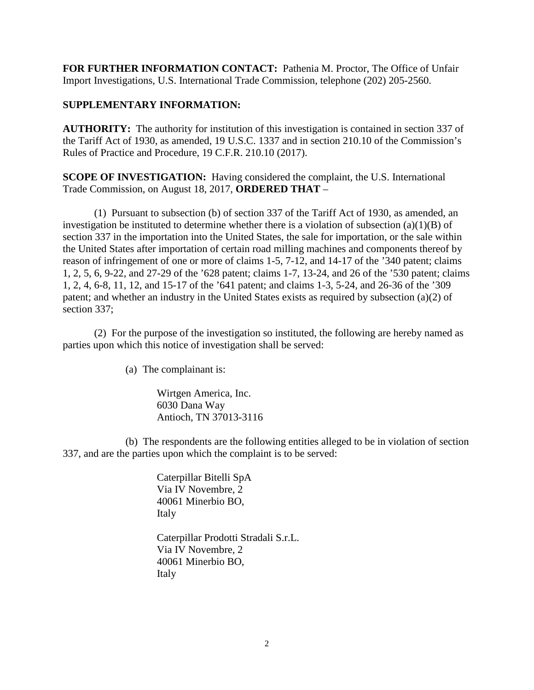**FOR FURTHER INFORMATION CONTACT:** Pathenia M. Proctor, The Office of Unfair Import Investigations, U.S. International Trade Commission, telephone (202) 205-2560.

## **SUPPLEMENTARY INFORMATION:**

**AUTHORITY:** The authority for institution of this investigation is contained in section 337 of the Tariff Act of 1930, as amended, 19 U.S.C. 1337 and in section 210.10 of the Commission's Rules of Practice and Procedure, 19 C.F.R. 210.10 (2017).

**SCOPE OF INVESTIGATION:** Having considered the complaint, the U.S. International Trade Commission, on August 18, 2017, **ORDERED THAT** –

(1) Pursuant to subsection (b) of section 337 of the Tariff Act of 1930, as amended, an investigation be instituted to determine whether there is a violation of subsection  $(a)(1)(B)$  of section 337 in the importation into the United States, the sale for importation, or the sale within the United States after importation of certain road milling machines and components thereof by reason of infringement of one or more of claims 1-5, 7-12, and 14-17 of the '340 patent; claims 1, 2, 5, 6, 9-22, and 27-29 of the '628 patent; claims 1-7, 13-24, and 26 of the '530 patent; claims 1, 2, 4, 6-8, 11, 12, and 15-17 of the '641 patent; and claims 1-3, 5-24, and 26-36 of the '309 patent; and whether an industry in the United States exists as required by subsection (a)(2) of section 337;

(2) For the purpose of the investigation so instituted, the following are hereby named as parties upon which this notice of investigation shall be served:

(a) The complainant is:

Wirtgen America, Inc. 6030 Dana Way Antioch, TN 37013-3116

(b) The respondents are the following entities alleged to be in violation of section 337, and are the parties upon which the complaint is to be served:

> Caterpillar Bitelli SpA Via IV Novembre, 2 40061 Minerbio BO, Italy

Caterpillar Prodotti Stradali S.r.L. Via IV Novembre, 2 40061 Minerbio BO, Italy